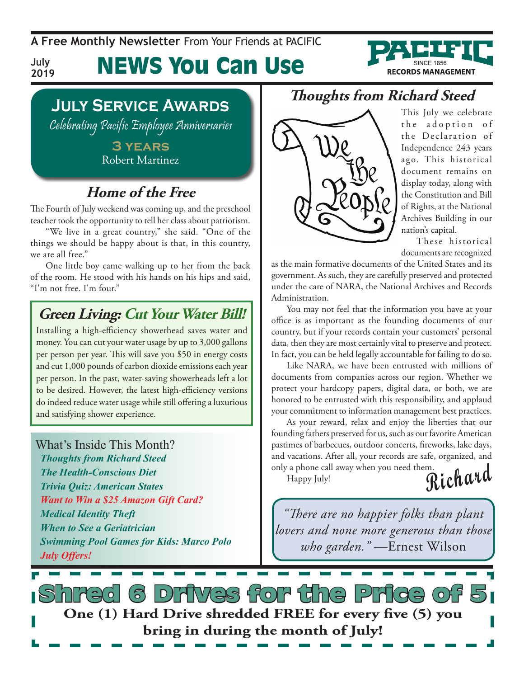**A Free Monthly Newsletter** From Your Friends at Pacific

**RECORDS MANAGEMENT** 

**July 2019**

## News You Can Use

### **July Service Awards**

Celebrating Pacific Employee Anniversaries

**3 years** Robert Martinez

### **Home of the Free**

The Fourth of July weekend was coming up, and the preschool teacher took the opportunity to tell her class about patriotism.

"We live in a great country," she said. "One of the things we should be happy about is that, in this country, we are all free."

One little boy came walking up to her from the back of the room. He stood with his hands on his hips and said, "I'm not free. I'm four."

### **Green Living: Cut Your Water Bill!**

Installing a high-efficiency showerhead saves water and money. You can cut your water usage by up to 3,000 gallons per person per year. This will save you \$50 in energy costs and cut 1,000 pounds of carbon dioxide emissions each year per person. In the past, water-saving showerheads left a lot to be desired. However, the latest high-efficiency versions do indeed reduce water usage while still offering a luxurious and satisfying shower experience.

#### What's Inside This Month?

*Thoughts from Richard Steed The Health-Conscious Diet Trivia Quiz: American States Want to Win a \$25 Amazon Gift Card? Medical Identity Theft When to See a Geriatrician Swimming Pool Games for Kids: Marco Polo July Offers!*

### **Thoughts from Richard Steed**



This July we celebrate the adoption of the Declaration of Independence 243 years ago. This historical document remains on display today, along with the Constitution and Bill of Rights, at the National Archives Building in our nation's capital.

These historical documents are recognized

as the main formative documents of the United States and its government. As such, they are carefully preserved and protected under the care of NARA, the National Archives and Records Administration.

You may not feel that the information you have at your office is as important as the founding documents of our country, but if your records contain your customers' personal data, then they are most certainly vital to preserve and protect. In fact, you can be held legally accountable for failing to do so.

Like NARA, we have been entrusted with millions of documents from companies across our region. Whether we protect your hardcopy papers, digital data, or both, we are honored to be entrusted with this responsibility, and applaud your commitment to information management best practices.

As your reward, relax and enjoy the liberties that our founding fathers preserved for us, such as our favorite American pastimes of barbecues, outdoor concerts, fireworks, lake days, and vacations. After all, your records are safe, organized, and only a phone call away when you need them.

Happy July!

**Richard**

*"There are no happier folks than plant lovers and none more generous than those who garden."* —Ernest Wilson

Drives for the Price **One (1) Hard Drive shredded FREE for every five (5) you bring in during the month of July!**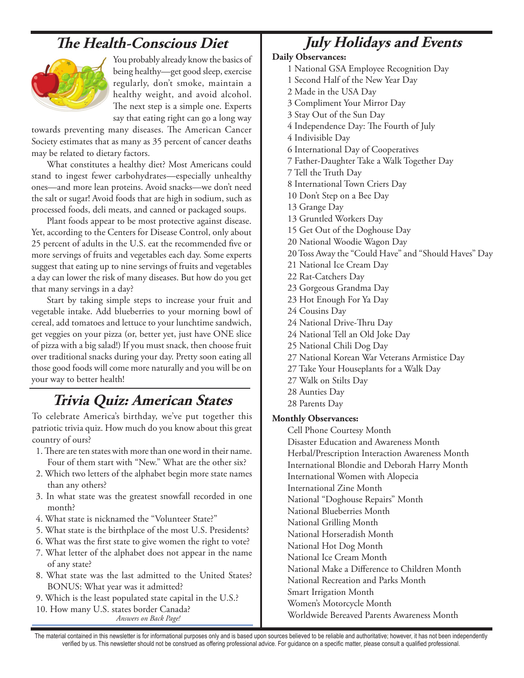### **The Health-Conscious Diet**



You probably already know the basics of being healthy—get good sleep, exercise regularly, don't smoke, maintain a healthy weight, and avoid alcohol. The next step is a simple one. Experts say that eating right can go a long way

towards preventing many diseases. The American Cancer Society estimates that as many as 35 percent of cancer deaths may be related to dietary factors.

What constitutes a healthy diet? Most Americans could stand to ingest fewer carbohydrates—especially unhealthy ones—and more lean proteins. Avoid snacks—we don't need the salt or sugar! Avoid foods that are high in sodium, such as processed foods, deli meats, and canned or packaged soups.

Plant foods appear to be most protective against disease. Yet, according to the Centers for Disease Control, only about 25 percent of adults in the U.S. eat the recommended five or more servings of fruits and vegetables each day. Some experts suggest that eating up to nine servings of fruits and vegetables a day can lower the risk of many diseases. But how do you get that many servings in a day?

Start by taking simple steps to increase your fruit and vegetable intake. Add blueberries to your morning bowl of cereal, add tomatoes and lettuce to your lunchtime sandwich, get veggies on your pizza (or, better yet, just have ONE slice of pizza with a big salad!) If you must snack, then choose fruit over traditional snacks during your day. Pretty soon eating all those good foods will come more naturally and you will be on your way to better health!

### **Trivia Quiz: American States**

To celebrate America's birthday, we've put together this patriotic trivia quiz. How much do you know about this great country of ours?

- 1. There are ten states with more than one word in their name. Four of them start with "New." What are the other six?
- 2. Which two letters of the alphabet begin more state names than any others?
- 3. In what state was the greatest snowfall recorded in one month?
- 4. What state is nicknamed the "Volunteer State?"
- 5. What state is the birthplace of the most U.S. Presidents?
- 6. What was the first state to give women the right to vote?
- 7. What letter of the alphabet does not appear in the name of any state?
- 8. What state was the last admitted to the United States? BONUS: What year was it admitted?
- 9. Which is the least populated state capital in the U.S.?

*Answers on Back Page!* 10. How many U.S. states border Canada?

### **July Holidays and Events**

#### **Daily Observances:**

- 1 National GSA Employee Recognition Day
- 1 Second Half of the New Year Day
- 2 Made in the USA Day
- 3 Compliment Your Mirror Day
- 3 Stay Out of the Sun Day
- 4 Independence Day: The Fourth of July
- 4 Indivisible Day
- 6 International Day of Cooperatives
- 7 Father-Daughter Take a Walk Together Day
- 7 Tell the Truth Day
- 8 International Town Criers Day
- 10 Don't Step on a Bee Day
- 13 Grange Day
- 13 Gruntled Workers Day
- 15 Get Out of the Doghouse Day
- 20 National Woodie Wagon Day
- 20 Toss Away the "Could Have" and "Should Haves" Day
- 21 National Ice Cream Day
- 22 Rat-Catchers Day
- 23 Gorgeous Grandma Day
- 23 Hot Enough For Ya Day
- 24 Cousins Day
- 24 National Drive-Thru Day
- 24 National Tell an Old Joke Day
- 25 National Chili Dog Day
- 27 National Korean War Veterans Armistice Day
- 27 Take Your Houseplants for a Walk Day
- 27 Walk on Stilts Day
- 28 Aunties Day
- 28 Parents Day

#### **Monthly Observances:**

Cell Phone Courtesy Month Disaster Education and Awareness Month Herbal/Prescription Interaction Awareness Month International Blondie and Deborah Harry Month International Women with Alopecia International Zine Month National "Doghouse Repairs" Month National Blueberries Month National Grilling Month National Horseradish Month National Hot Dog Month National Ice Cream Month National Make a Difference to Children Month National Recreation and Parks Month Smart Irrigation Month Women's Motorcycle Month Worldwide Bereaved Parents Awareness Month

The material contained in this newsletter is for informational purposes only and is based upon sources believed to be reliable and authoritative; however, it has not been independently verified by us. This newsletter should not be construed as offering professional advice. For guidance on a specific matter, please consult a qualified professional.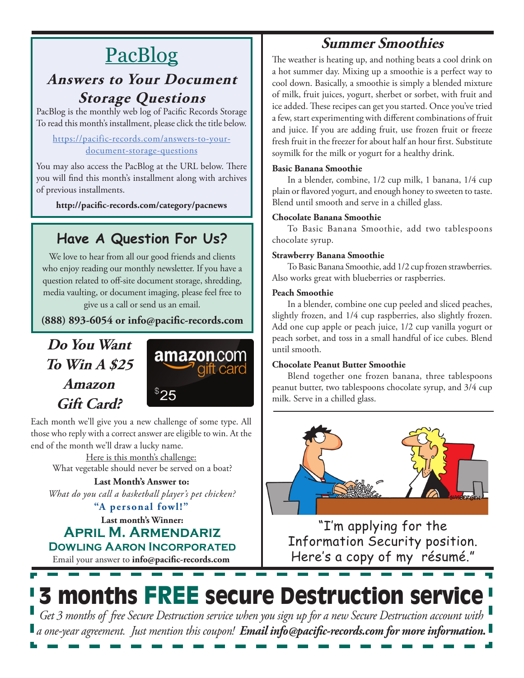## PacBlog

### **Answers to Your Document Storage Questions**

PacBlog is the monthly web log of Pacific Records Storage To read this month's installment, please click the title below.

#### [https://pacific-records.com/answers-to-your](https://pacific-records.com/answers-to-your-document-storage-questions)[document-storage-questions](https://pacific-records.com/answers-to-your-document-storage-questions)

You may also access the PacBlog at the URL below. There you will find this month's installment along with archives of previous installments.

**http://pacific-records.com/category/pacnews**

### **Have A Question For Us?**

We love to hear from all our good friends and clients who enjoy reading our monthly newsletter. If you have a question related to off-site document storage, shredding, media vaulting, or document imaging, please feel free to give us a call or send us an email.

**(888) 893-6054 or info@pacific-records.com**

### **Do You Want To Win A \$25 Amazon Gift Card?**



Each month we'll give you a new challenge of some type. All those who reply with a correct answer are eligible to win. At the end of the month we'll draw a lucky name.

Here is this month's challenge: What vegetable should never be served on a boat?

**Last Month's Answer to:**  *What do you call a basketball player's pet chicken?*

**"A personal fowl!"**

**Last month's Winner: April M. Armendariz Dowling Aaron Incorporated**

Email your answer to **info@pacific-records.com**

### **Summer Smoothies**

The weather is heating up, and nothing beats a cool drink on a hot summer day. Mixing up a smoothie is a perfect way to cool down. Basically, a smoothie is simply a blended mixture of milk, fruit juices, yogurt, sherbet or sorbet, with fruit and ice added. These recipes can get you started. Once you've tried a few, start experimenting with different combinations of fruit and juice. If you are adding fruit, use frozen fruit or freeze fresh fruit in the freezer for about half an hour first. Substitute soymilk for the milk or yogurt for a healthy drink.

#### **Basic Banana Smoothie**

In a blender, combine, 1/2 cup milk, 1 banana, 1/4 cup plain or flavored yogurt, and enough honey to sweeten to taste. Blend until smooth and serve in a chilled glass.

#### **Chocolate Banana Smoothie**

To Basic Banana Smoothie, add two tablespoons chocolate syrup.

#### **Strawberry Banana Smoothie**

To Basic Banana Smoothie, add 1/2 cup frozen strawberries. Also works great with blueberries or raspberries.

#### **Peach Smoothie**

In a blender, combine one cup peeled and sliced peaches, slightly frozen, and 1/4 cup raspberries, also slightly frozen. Add one cup apple or peach juice, 1/2 cup vanilla yogurt or peach sorbet, and toss in a small handful of ice cubes. Blend until smooth.

#### **Chocolate Peanut Butter Smoothie**

Blend together one frozen banana, three tablespoons peanut butter, two tablespoons chocolate syrup, and 3/4 cup milk. Serve in a chilled glass.



"I'm applying for the Information Security position. Here's a copy of my résumé."

# 3 months FREE secure Destruction service

*Get 3 months of free Secure Destruction service when you sign up for a new Secure Destruction account with a one-year agreement. Just mention this coupon! Email info@pacific-records.com for more information.*